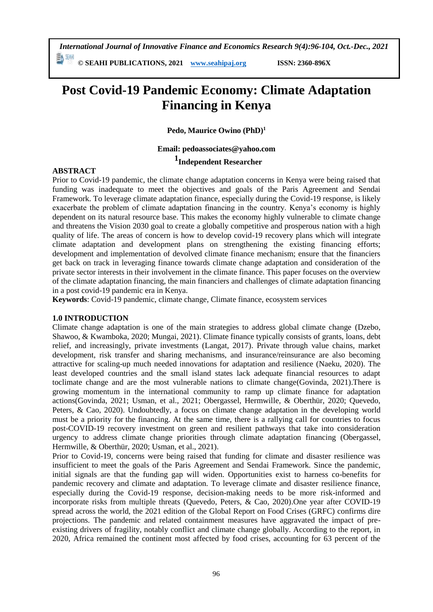*International Journal of Innovative Finance and Economics Research 9(4):96-104, Oct.-Dec., 2021* 勤酬

**© SEAHI PUBLICATIONS, 2021 [www.seahipaj.org](http://www.seahipaj.org/) ISSN: 2360-896X**

# **Post Covid-19 Pandemic Economy: Climate Adaptation Financing in Kenya**

**Pedo, Maurice Owino (PhD)<sup>1</sup>**

# **Email: pedoassociates@yahoo.com**

# **1 Independent Researcher**

#### **ABSTRACT**

Prior to Covid-19 pandemic, the climate change adaptation concerns in Kenya were being raised that funding was inadequate to meet the objectives and goals of the Paris Agreement and Sendai Framework. To leverage climate adaptation finance, especially during the Covid-19 response, is likely exacerbate the problem of climate adaptation financing in the country. Kenya's economy is highly dependent on its natural resource base. This makes the economy highly vulnerable to climate change and threatens the Vision 2030 goal to create a globally competitive and prosperous nation with a high quality of life. The areas of concern is how to develop covid-19 recovery plans which will integrate climate adaptation and development plans on strengthening the existing financing efforts; development and implementation of devolved climate finance mechanism; ensure that the financiers get back on track in leveraging finance towards climate change adaptation and consideration of the private sector interests in their involvement in the climate finance. This paper focuses on the overview of the climate adaptation financing, the main financiers and challenges of climate adaptation financing in a post covid-19 pandemic era in Kenya.

**Keywords**: Covid-19 pandemic, climate change, Climate finance, ecosystem services

#### **1.0 INTRODUCTION**

Climate change adaptation is one of the main strategies to address global climate change (Dzebo, Shawoo, & Kwamboka, 2020; Mungai, 2021). Climate finance typically consists of grants, loans, debt relief, and increasingly, private investments (Langat, 2017). Private through value chains, market development, risk transfer and sharing mechanisms, and insurance/reinsurance are also becoming attractive for scaling-up much needed innovations for adaptation and resilience (Naeku, 2020). The least developed countries and the small island states lack adequate financial resources to adapt toclimate change and are the most vulnerable nations to climate change(Govinda, 2021).There is growing momentum in the international community to ramp up climate finance for adaptation actions(Govinda, 2021; Usman, et al., 2021; Obergassel, Hermwille, & Oberthür, 2020; Quevedo, Peters, & Cao, 2020). Undoubtedly, a focus on climate change adaptation in the developing world must be a priority for the financing. At the same time, there is a rallying call for countries to focus post-COVID-19 recovery investment on green and resilient pathways that take into consideration urgency to address climate change priorities through climate adaptation financing (Obergassel, Hermwille, & Oberthür, 2020; Usman, et al., 2021).

Prior to Covid-19, concerns were being raised that funding for climate and disaster resilience was insufficient to meet the goals of the Paris Agreement and Sendai Framework. Since the pandemic, initial signals are that the funding gap will widen. Opportunities exist to harness co-benefits for pandemic recovery and climate and adaptation. To leverage climate and disaster resilience finance, especially during the Covid-19 response, decision-making needs to be more risk-informed and incorporate risks from multiple threats (Quevedo, Peters, & Cao, 2020).One year after COVID-19 spread across the world, the [2021 edition of the Global Report on Food Crises \(GRFC\)](https://reliefweb.int/node/3735770) confirms dire projections. The pandemic and related containment measures have aggravated the impact of preexisting drivers of fragility, notably conflict and climate change globally. According to the report, in 2020, Africa remained the continent most affected by food crises, accounting for 63 percent of the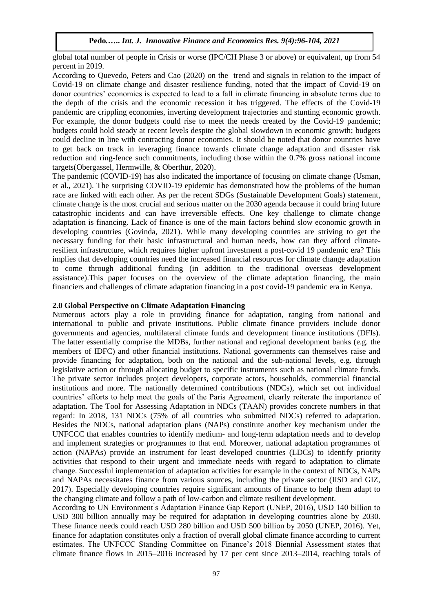global total number of people in Crisis or worse (IPC/CH Phase 3 or above) or equivalent, up from 54 percent in 2019.

According to Quevedo, Peters and Cao (2020) on the trend and signals in relation to the impact of Covid-19 on climate change and disaster resilience funding, noted that the impact of Covid-19 on donor countries' economies is expected to lead to a fall in climate financing in absolute terms due to the depth of the crisis and the economic recession it has triggered. The effects of the Covid-19 pandemic are crippling economies, inverting development trajectories and stunting economic growth. For example, the donor budgets could rise to meet the needs created by the Covid-19 pandemic; budgets could hold steady at recent levels despite the global slowdown in economic growth; budgets could decline in line with contracting donor economies. It should be noted that donor countries have to get back on track in leveraging finance towards climate change adaptation and disaster risk reduction and ring-fence such commitments, including those within the 0.7% gross national income targets(Obergassel, Hermwille, & Oberthür, 2020).

The pandemic (COVID-19) has also indicated the importance of focusing on climate change (Usman, et al., 2021). The surprising COVID-19 epidemic has demonstrated how the problems of the human race are linked with each other. As per the recent SDGs (Sustainable Development Goals) statement, climate change is the most crucial and serious matter on the 2030 agenda because it could bring future catastrophic incidents and can have irreversible effects. One key challenge to climate change adaptation is financing. Lack of finance is one of the main factors behind slow economic growth in developing countries (Govinda, 2021). While many developing countries are striving to get the necessary funding for their basic infrastructural and human needs, how can they afford climateresilient infrastructure, which requires higher upfront investment a post-covid 19 pandemic era? This implies that developing countries need the increased financial resources for climate change adaptation to come through additional funding (in addition to the traditional overseas development assistance).This paper focuses on the overview of the climate adaptation financing, the main financiers and challenges of climate adaptation financing in a post covid-19 pandemic era in Kenya.

#### **2.0 Global Perspective on Climate Adaptation Financing**

Numerous actors play a role in providing finance for adaptation, ranging from national and international to public and private institutions. Public climate finance providers include donor governments and agencies, multilateral climate funds and development finance institutions (DFIs). The latter essentially comprise the MDBs, further national and regional development banks (e.g. the members of IDFC) and other financial institutions. National governments can themselves raise and provide financing for adaptation, both on the national and the sub-national levels, e.g. through legislative action or through allocating budget to specific instruments such as national climate funds. The private sector includes project developers, corporate actors, households, commercial financial institutions and more. The nationally determined contributions (NDCs), which set out individual countries' efforts to help meet the goals of the Paris Agreement, clearly reiterate the importance of adaptation. The Tool for Assessing Adaptation in NDCs (TAAN) provides concrete numbers in that regard: In 2018, 131 NDCs (75% of all countries who submitted NDCs) referred to adaptation. Besides the NDCs, national adaptation plans (NAPs) constitute another key mechanism under the UNFCCC that enables countries to identify medium- and long-term adaptation needs and to develop and implement strategies or programmes to that end. Moreover, national adaptation programmes of action (NAPAs) provide an instrument for least developed countries (LDCs) to identify priority activities that respond to their urgent and immediate needs with regard to adaptation to climate change. Successful implementation of adaptation activities for example in the context of NDCs, NAPs and NAPAs necessitates finance from various sources, including the private sector (IISD and GIZ, 2017). Especially developing countries require significant amounts of finance to help them adapt to the changing climate and follow a path of low-carbon and climate resilient development.

According to UN Environment ́s Adaptation Finance Gap Report (UNEP, 2016), USD 140 billion to USD 300 billion annually may be required for adaptation in developing countries alone by 2030. These finance needs could reach USD 280 billion and USD 500 billion by 2050 (UNEP, 2016). Yet, finance for adaptation constitutes only a fraction of overall global climate finance according to current estimates. The UNFCCC Standing Committee on Finance's 2018 Biennial Assessment states that climate finance flows in 2015–2016 increased by 17 per cent since 2013–2014, reaching totals of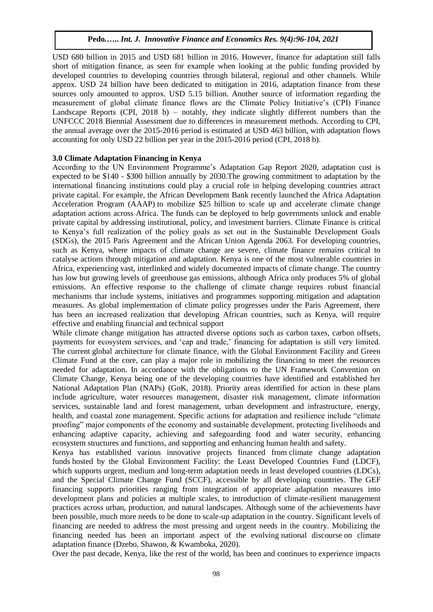USD 680 billion in 2015 and USD 681 billion in 2016. However, finance for adaptation still falls short of mitigation finance, as seen for example when looking at the public funding provided by developed countries to developing countries through bilateral, regional and other channels. While approx. USD 24 billion have been dedicated to mitigation in 2016, adaptation finance from these sources only amounted to approx. USD 5.15 billion. Another source of information regarding the measurement of global climate finance flows are the Climate Policy Initiative's (CPI) Finance Landscape Reports (CPI, 2018 b) – notably, they indicate slightly different numbers than the UNFCCC 2018 Biennial Assessment due to differences in measurement methods. According to CPI, the annual average over the 2015-2016 period is estimated at USD 463 billion, with adaptation flows accounting for only USD 22 billion per year in the 2015-2016 period (CPI, 2018 b).

# **3.0 Climate Adaptation Financing in Kenya**

According to the UN Environment Programme's [Adaptation Gap Report 2020,](https://www.unep.org/resources/adaptation-gap-report-2020) adaptation cost is expected to be \$140 - \$300 billion annually by 2030.The growing commitment to adaptation by the international financing institutions could play a crucial role in helping developing countries attract private capital. For example, the African Development Bank recently launched the [Africa Adaptation](https://unfccc.int/news/global-calls-for-massive-scale-up-of-climate-adaptation-in-africa)  [Acceleration Program \(AAAP\)](https://unfccc.int/news/global-calls-for-massive-scale-up-of-climate-adaptation-in-africa) to mobilize \$25 billion to scale up and accelerate climate change adaptation actions across Africa. The funds can be deployed to help governments unlock and enable private capital by addressing institutional, policy, and investment barriers. Climate Finance is critical to Kenya's full realization of the policy goals as set out in the Sustainable Development Goals (SDGs), the 2015 Paris Agreement and the African Union Agenda 2063. For developing countries, such as Kenya, where impacts of climate change are severe, climate finance remains critical to catalyse actions through mitigation and adaptation. Kenya is one of the most vulnerable countries in Africa, experiencing vast, interlinked and widely documented impacts of climate change. The country has low but growing levels of greenhouse gas emissions, although Africa only produces 5% of global emissions. An effective response to the challenge of climate change requires robust financial mechanisms that include systems, initiatives and programmes supporting mitigation and adaptation measures. As global implementation of climate policy progresses under the Paris Agreement, there has been an increased realization that developing African countries, such as Kenya, will require effective and enabling financial and technical support

While climate change mitigation has attracted diverse options such as carbon taxes, carbon offsets, payments for ecosystem services, and 'cap and trade,' financing for adaptation is still very limited. The current [global architecture for climate finance,](https://www.marketlinks.org/blogs/introduction-climate-finance) with the Global Environment Facility and Green Climate Fund at the core, can play a major role in mobilizing the financing to meet the resources needed for adaptation. In accordance with the obligations to the UN Framework Convention on Climate Change, Kenya being one of the developing countries have identified and established her [National Adaptation Plan \(NAPs\)](https://www4.unfccc.int/sites/NAPC/News/Pages/national_adaptation_plans.aspx) (GoK, 2018). Priority areas identified for action in these plans include agriculture, water resources management, disaster risk management, climate information services, sustainable land and forest management, urban development and infrastructure, energy, health, and coastal zone management. Specific actions for adaptation and resilience include "climate proofing" major components of the economy and sustainable development, protecting livelihoods and enhancing adaptive capacity, achieving and safeguarding food and water security, enhancing ecosystem structures and functions, and supporting and enhancing human health and safety.

Kenya has established various innovative projects financed from [climate change adaptation](https://www.thegef.org/publications/financing-adaptation-climate-change-gef)  [funds](https://www.thegef.org/publications/financing-adaptation-climate-change-gef) hosted by the Global Environment Facility: the Least Developed Countries Fund (LDCF), which supports urgent, medium and long-term adaptation needs in least developed countries (LDCs), and the Special Climate Change Fund (SCCF), accessible by all developing countries. The GEF financing supports priorities ranging from integration of appropriate adaptation measures into development plans and policies at multiple scales, to introduction of climate-resilient management practices across urban, production, and natural landscapes. Although some of the achievements have been possible, much more needs to be done to scale-up adaptation in the country. Significant levels of financing are needed to address the most pressing and urgent needs in the country. Mobilizing the financing needed has been an important aspect of the evolving [national discourse](https://link.springer.com/article/10.1007%2Fs10584-019-02563-x) on climate adaptation finance (Dzebo, Shawoo, & Kwamboka, 2020).

Over the past decade, Kenya, like the rest of the world, has been and continues to experience impacts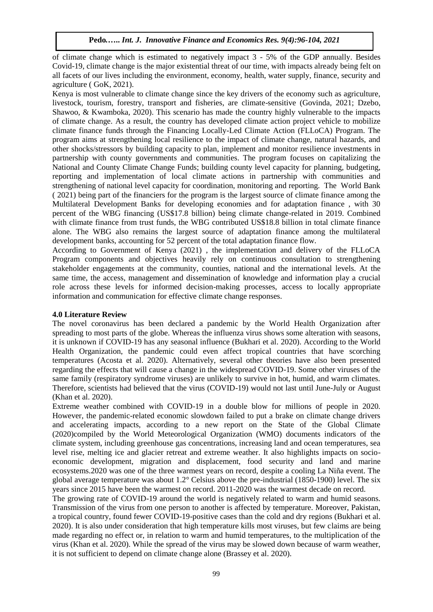of climate change which is estimated to negatively impact 3 - 5% of the GDP annually. Besides Covid-19, climate change is the major existential threat of our time, with impacts already being felt on all facets of our lives including the environment, economy, health, water supply, finance, security and agriculture ( GoK, 2021).

Kenya is most vulnerable to climate change since the key drivers of the economy such as agriculture, livestock, tourism, forestry, transport and fisheries, are climate-sensitive (Govinda, 2021; Dzebo, Shawoo, & Kwamboka, 2020). This scenario has made the country highly vulnerable to the impacts of climate change. As a result, the country has developed climate action project vehicle to mobilize climate finance funds through the Financing Locally-Led Climate Action (FLLoCA) Program. The program aims at strengthening local resilience to the impact of climate change, natural hazards, and other shocks/stressors by building capacity to plan, implement and monitor resilience investments in partnership with county governments and communities. The program focuses on capitalizing the National and County Climate Change Funds; building county level capacity for planning, budgeting, reporting and implementation of local climate actions in partnership with communities and strengthening of national level capacity for coordination, monitoring and reporting. The World Bank ( 2021) being part of the financiers for the program is the largest source of climate finance among the Multilateral Development Banks for developing economies and for adaptation finance , with 30 percent of the WBG financing (US\$17.8 billion) being climate change-related in 2019. Combined with climate finance from trust funds, the WBG contributed US\$18.8 billion in total climate finance alone. The WBG also remains the largest source of adaptation finance among the multilateral development banks, accounting for 52 percent of the total adaptation finance flow.

According to Government of Kenya (2021) , the implementation and delivery of the FLLoCA Program components and objectives heavily rely on continuous consultation to strengthening stakeholder engagements at the community, counties, national and the international levels. At the same time, the access, management and dissemination of knowledge and information play a crucial role across these levels for informed decision-making processes, access to locally appropriate information and communication for effective climate change responses.

# **4.0 Literature Review**

The novel coronavirus has been declared a pandemic by the World Health Organization after spreading to most parts of the globe. Whereas the influenza virus shows some alteration with seasons, it is unknown if COVID-19 has any seasonal influence (Bukhari et al. [2020\)](https://link.springer.com/article/10.1007/s11356-021-14088-x#ref-CR15). According to the World Health Organization, the pandemic could even affect tropical countries that have scorching temperatures (Acosta et al. [2020\)](https://link.springer.com/article/10.1007/s11356-021-14088-x#ref-CR1). Alternatively, several other theories have also been presented regarding the effects that will cause a change in the widespread COVID-19. Some other viruses of the same family (respiratory syndrome viruses) are unlikely to survive in hot, humid, and warm climates. Therefore, scientists had believed that the virus (COVID-19) would not last until June-July or August (Khan et al. [2020\)](https://link.springer.com/article/10.1007/s11356-021-14088-x#ref-CR35).

Extreme weather combined with COVID-19 in a double blow for millions of people in 2020. However, the pandemic-related economic slowdown failed to put a brake on climate change drivers and accelerating impacts, according to a new [report on the State of the Global Climate](https://library.wmo.int/index.php?lvl=notice_display&id=21880#.YHg0ABMzZR0)  [\(2020\)c](https://library.wmo.int/index.php?lvl=notice_display&id=21880#.YHg0ABMzZR0)ompiled by the World Meteorological Organization (WMO) documents indicators of the climate system, including greenhouse gas concentrations, increasing land and ocean temperatures, sea level rise, melting ice and glacier retreat and extreme weather. It also highlights impacts on socioeconomic development, migration and displacement, food security and land and marine ecosystems.2020 was one of the three warmest years on record, despite a cooling La Niña event. The global average temperature was about 1.2° Celsius above the pre-industrial (1850-1900) level. The six years since 2015 have been the warmest on record. 2011-2020 was the warmest decade on record.

The growing rate of COVID-19 around the world is negatively related to warm and humid seasons. Transmission of the virus from one person to another is affected by temperature. Moreover, Pakistan, a tropical country, found fewer COVID-19-positive cases than the cold and dry regions (Bukhari et al. [2020\)](https://link.springer.com/article/10.1007/s11356-021-14088-x#ref-CR15). It is also under consideration that high temperature kills most viruses, but few claims are being made regarding no effect or, in relation to warm and humid temperatures, to the multiplication of the virus (Khan et al. [2020\)](https://link.springer.com/article/10.1007/s11356-021-14088-x#ref-CR35). While the spread of the virus may be slowed down because of warm weather, it is not sufficient to depend on climate change alone (Brassey et al. [2020\)](https://link.springer.com/article/10.1007/s11356-021-14088-x#ref-CR13).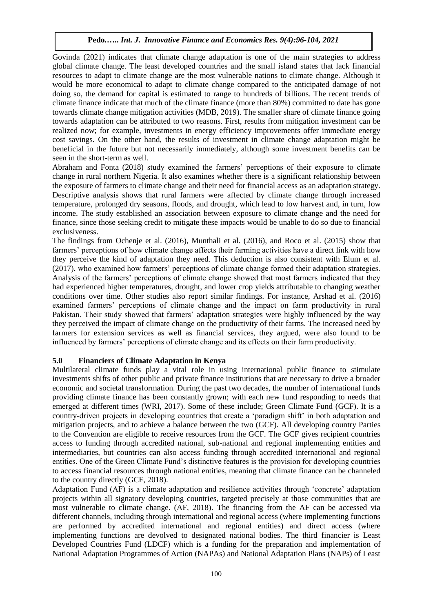Govinda (2021) indicates that climate change adaptation is one of the main strategies to address global climate change. The least developed countries and the small island states that lack financial resources to adapt to climate change are the most vulnerable nations to climate change. Although it would be more economical to adapt to climate change compared to the anticipated damage of not doing so, the demand for capital is estimated to range to hundreds of billions. The recent trends of climate finance indicate that much of the climate finance (more than 80%) committed to date has gone towards climate change mitigation activities (MDB, 2019). The smaller share of climate finance going towards adaptation can be attributed to two reasons. First, results from mitigation investment can be realized now; for example, investments in energy efficiency improvements offer immediate energy cost savings. On the other hand, the results of investment in climate change adaptation might be beneficial in the future but not necessarily immediately, although some investment benefits can be seen in the short-term as well.

Abraham and Fonta (2018) study examined the farmers' perceptions of their exposure to climate change in rural northern Nigeria. It also examines whether there is a significant relationship between the exposure of farmers to climate change and their need for financial access as an adaptation strategy. Descriptive analysis shows that rural farmers were affected by climate change through increased temperature, prolonged dry seasons, floods, and drought, which lead to low harvest and, in turn, low income. The study established an association between exposure to climate change and the need for finance, since those seeking credit to mitigate these impacts would be unable to do so due to financial exclusiveness.

The findings from Ochenje et al. [\(2016\)](https://jfin-swufe.springeropen.com/articles/10.1186/s40854-018-0094-0#ref-CR54), Munthali et al. [\(2016\)](https://jfin-swufe.springeropen.com/articles/10.1186/s40854-018-0094-0#ref-CR52), and Roco et al. [\(2015\)](https://jfin-swufe.springeropen.com/articles/10.1186/s40854-018-0094-0#ref-CR57) show that farmers' perceptions of how climate change affects their farming activities have a direct link with how they perceive the kind of adaptation they need. This deduction is also consistent with Elum et al. [\(2017\)](https://jfin-swufe.springeropen.com/articles/10.1186/s40854-018-0094-0#ref-CR32), who examined how farmers' perceptions of climate change formed their adaptation strategies. Analysis of the farmers' perceptions of climate change showed that most farmers indicated that they had experienced higher temperatures, drought, and lower crop yields attributable to changing weather conditions over time. Other studies also report similar findings. For instance, Arshad et al. [\(2016\)](https://jfin-swufe.springeropen.com/articles/10.1186/s40854-018-0094-0#ref-CR8) examined farmers' perceptions of climate change and the impact on farm productivity in rural Pakistan. Their study showed that farmers' adaptation strategies were highly influenced by the way they perceived the impact of climate change on the productivity of their farms. The increased need by farmers for extension services as well as financial services, they argued, were also found to be influenced by farmers' perceptions of climate change and its effects on their farm productivity.

#### **5.0 Financiers of Climate Adaptation in Kenya**

Multilateral climate funds play a vital role in using international public finance to stimulate investments shifts of other public and private finance institutions that are necessary to drive a broader economic and societal transformation. During the past two decades, the number of international funds providing climate finance has been constantly grown; with each new fund responding to needs that emerged at different times (WRI, 2017). Some of these include; Green Climate Fund (GCF). It is a country-driven projects in developing countries that create a 'paradigm shift' in both adaptation and mitigation projects, and to achieve a balance between the two (GCF). All developing country Parties to the Convention are eligible to receive resources from the GCF. The GCF gives recipient countries access to funding through accredited national, sub-national and regional implementing entities and intermediaries, but countries can also access funding through accredited international and regional entities. One of the Green Climate Fund's distinctive features is the provision for developing countries to access financial resources through national entities, meaning that climate finance can be channeled to the country directly (GCF, 2018).

Adaptation Fund (AF) is a climate adaptation and resilience activities through 'concrete' adaptation projects within all signatory developing countries, targeted precisely at those communities that are most vulnerable to climate change. (AF, 2018). The financing from the AF can be accessed via different channels, including through international and regional access (where implementing functions are performed by accredited international and regional entities) and direct access (where implementing functions are devolved to designated national bodies. The third financier is Least Developed Countries Fund (LDCF) which is a funding for the preparation and implementation of National Adaptation Programmes of Action (NAPAs) and National Adaptation Plans (NAPs) of Least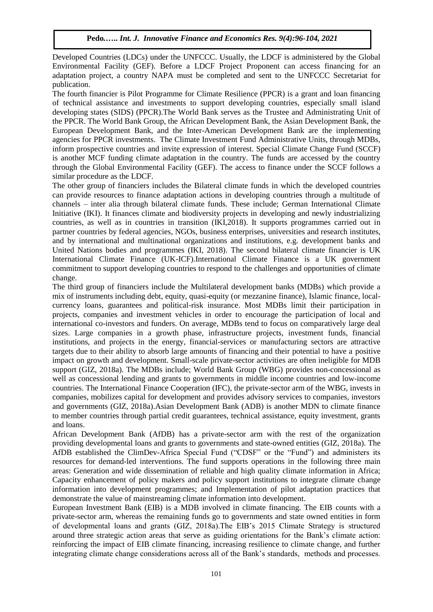Developed Countries (LDCs) under the UNFCCC. Usually, the LDCF is administered by the Global Environmental Facility (GEF). Before a LDCF Project Proponent can access financing for an adaptation project, a country NAPA must be completed and sent to the UNFCCC Secretariat for publication.

The fourth financier is Pilot Programme for Climate Resilience (PPCR) is a grant and loan financing of technical assistance and investments to support developing countries, especially small island developing states (SIDS) (PPCR).The World Bank serves as the Trustee and Administrating Unit of the PPCR. The World Bank Group, the African Development Bank, the Asian Development Bank, the European Development Bank, and the Inter-American Development Bank are the implementing agencies for PPCR investments. The Climate Investment Fund Administrative Units, through MDBs, inform prospective countries and invite expression of interest. Special Climate Change Fund (SCCF) is another MCF funding climate adaptation in the country. The funds are accessed by the country through the Global Environmental Facility (GEF). The access to finance under the SCCF follows a similar procedure as the LDCF.

The other group of financiers includes the Bilateral climate funds in which the developed countries can provide resources to finance adaptation actions in developing countries through a multitude of channels – inter alia through bilateral climate funds. These include; German International Climate Initiative (IKI). It finances climate and biodiversity projects in developing and newly industrializing countries, as well as in countries in transition (IKI,2018). It supports programmes carried out in partner countries by federal agencies, NGOs, business enterprises, universities and research institutes, and by international and multinational organizations and institutions, e.g. development banks and United Nations bodies and programmes (IKI, 2018). The second bilateral climate financier is UK International Climate Finance (UK-ICF).International Climate Finance is a UK government commitment to support developing countries to respond to the challenges and opportunities of climate change.

The third group of financiers include the Multilateral development banks (MDBs) which provide a mix of instruments including debt, equity, quasi-equity (or mezzanine finance), Islamic finance, localcurrency loans, guarantees and political-risk insurance. Most MDBs limit their participation in projects, companies and investment vehicles in order to encourage the participation of local and international co-investors and funders. On average, MDBs tend to focus on comparatively large deal sizes. Large companies in a growth phase, infrastructure projects, investment funds, financial institutions, and projects in the energy, financial-services or manufacturing sectors are attractive targets due to their ability to absorb large amounts of financing and their potential to have a positive impact on growth and development. Small-scale private-sector activities are often ineligible for MDB support (GIZ, 2018a). The MDBs include; World Bank Group (WBG) provides non-concessional as well as concessional lending and grants to governments in middle income countries and low-income countries. The International Finance Cooperation (IFC), the private-sector arm of the WBG, invests in companies, mobilizes capital for development and provides advisory services to companies, investors and governments (GIZ, 2018a).Asian Development Bank (ADB) is another MDN to climate finance to member countries through partial credit guarantees, technical assistance, equity investment, grants and loans.

African Development Bank (AfDB) has a private-sector arm with the rest of the organization providing developmental loans and grants to governments and state-owned entities (GIZ, 2018a). The AfDB established the ClimDev-Africa Special Fund ("CDSF" or the "Fund") and administers its resources for demand-led interventions. The fund supports operations in the following three main areas: Generation and wide dissemination of reliable and high quality climate information in Africa; Capacity enhancement of policy makers and policy support institutions to integrate climate change information into development programmes; and Implementation of pilot adaptation practices that demonstrate the value of mainstreaming climate information into development.

European Investment Bank (EIB) is a MDB involved in climate financing. The EIB counts with a private-sector arm, whereas the remaining funds go to governments and state owned entities in form of developmental loans and grants (GIZ, 2018a).The EIB's 2015 Climate Strategy is structured around three strategic action areas that serve as guiding orientations for the Bank's climate action: reinforcing the impact of EIB climate financing, increasing resilience to climate change, and further integrating climate change considerations across all of the Bank's standards, methods and processes.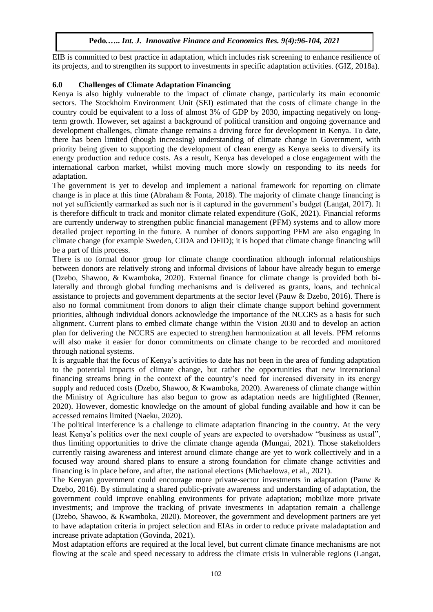EIB is committed to best practice in adaptation, which includes risk screening to enhance resilience of its projects, and to strengthen its support to investments in specific adaptation activities. (GIZ, 2018a).

# **6.0 Challenges of Climate Adaptation Financing**

Kenya is also highly vulnerable to the impact of climate change, particularly its main economic sectors. The Stockholm Environment Unit (SEI) estimated that the costs of climate change in the country could be equivalent to a loss of almost 3% of GDP by 2030, impacting negatively on longterm growth. However, set against a background of political transition and ongoing governance and development challenges, climate change remains a driving force for development in Kenya. To date, there has been limited (though increasing) understanding of climate change in Government, with priority being given to supporting the development of clean energy as Kenya seeks to diversify its energy production and reduce costs. As a result, Kenya has developed a close engagement with the international carbon market, whilst moving much more slowly on responding to its needs for adaptation.

The government is yet to develop and implement a national framework for reporting on climate change is in place at this time (Abraham & Fonta, 2018). The majority of climate change financing is not yet sufficiently earmarked as such nor is it captured in the government's budget (Langat, 2017). It is therefore difficult to track and monitor climate related expenditure (GoK, 2021). Financial reforms are currently underway to strengthen public financial management (PFM) systems and to allow more detailed project reporting in the future. A number of donors supporting PFM are also engaging in climate change (for example Sweden, CIDA and DFID); it is hoped that climate change financing will be a part of this process.

There is no formal donor group for climate change coordination although informal relationships between donors are relatively strong and informal divisions of labour have already begun to emerge (Dzebo, Shawoo, & Kwamboka, 2020). External finance for climate change is provided both bilaterally and through global funding mechanisms and is delivered as grants, loans, and technical assistance to projects and government departments at the sector level (Pauw & Dzebo, 2016). There is also no formal commitment from donors to align their climate change support behind government priorities, although individual donors acknowledge the importance of the NCCRS as a basis for such alignment. Current plans to embed climate change within the Vision 2030 and to develop an action plan for delivering the NCCRS are expected to strengthen harmonization at all levels. PFM reforms will also make it easier for donor commitments on climate change to be recorded and monitored through national systems.

It is arguable that the focus of Kenya's activities to date has not been in the area of funding adaptation to the potential impacts of climate change, but rather the opportunities that new international financing streams bring in the context of the country's need for increased diversity in its energy supply and reduced costs (Dzebo, Shawoo, & Kwamboka, 2020). Awareness of climate change within the Ministry of Agriculture has also begun to grow as adaptation needs are highlighted (Renner, 2020). However, domestic knowledge on the amount of global funding available and how it can be accessed remains limited (Naeku, 2020).

The political interference is a challenge to climate adaptation financing in the country. At the very least Kenya's politics over the next couple of years are expected to overshadow "business as usual", thus limiting opportunities to drive the climate change agenda (Mungai, 2021). Those stakeholders currently raising awareness and interest around climate change are yet to work collectively and in a focused way around shared plans to ensure a strong foundation for climate change activities and financing is in place before, and after, the national elections (Michaelowa, et al., 2021).

The Kenyan government could encourage more private-sector investments in adaptation (Pauw & Dzebo, 2016). By stimulating a shared public-private awareness and understanding of adaptation, the government could improve enabling environments for private adaptation; mobilize more private investments; and improve the tracking of private investments in adaptation remain a challenge (Dzebo, Shawoo, & Kwamboka, 2020). Moreover, the government and development partners are yet to have adaptation criteria in project selection and EIAs in order to reduce private maladaptation and increase private adaptation (Govinda, 2021).

Most adaptation efforts are required at the local level, but current climate finance mechanisms are not flowing at the scale and speed necessary to address the climate crisis in vulnerable regions (Langat,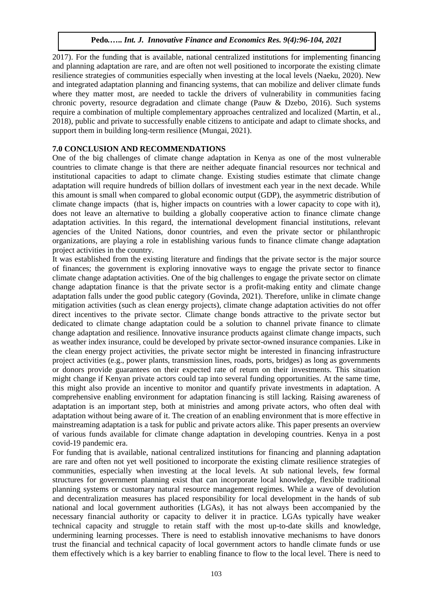2017). For the funding that is available, national centralized institutions for implementing financing and planning adaptation are rare, and are often not well positioned to incorporate the existing climate resilience strategies of communities especially when investing at the local levels (Naeku, 2020). New and integrated adaptation planning and financing systems, that can mobilize and deliver climate funds where they matter most, are needed to tackle the drivers of vulnerability in communities facing chronic poverty, resource degradation and climate change (Pauw & Dzebo, 2016). Such systems require a combination of multiple complementary approaches centralized and localized (Martin, et al., 2018), public and private to successfully enable citizens to anticipate and adapt to climate shocks, and support them in building long-term resilience (Mungai, 2021).

# **7.0 CONCLUSION AND RECOMMENDATIONS**

One of the big challenges of climate change adaptation in Kenya as one of the most vulnerable countries to climate change is that there are neither adequate financial resources nor technical and institutional capacities to adapt to climate change. Existing studies estimate that climate change adaptation will require hundreds of billion dollars of investment each year in the next decade. While this amount is small when compared to global economic output (GDP), the asymmetric distribution of climate change impacts (that is, higher impacts on countries with a lower capacity to cope with it), does not leave an alternative to building a globally cooperative action to finance climate change adaptation activities. In this regard, the international development financial institutions, relevant agencies of the United Nations, donor countries, and even the private sector or philanthropic organizations, are playing a role in establishing various funds to finance climate change adaptation project activities in the country.

It was established from the existing literature and findings that the private sector is the major source of finances; the government is exploring innovative ways to engage the private sector to finance climate change adaptation activities. One of the big challenges to engage the private sector on climate change adaptation finance is that the private sector is a profit-making entity and climate change adaptation falls under the good public category (Govinda, 2021). Therefore, unlike in climate change mitigation activities (such as clean energy projects), climate change adaptation activities do not offer direct incentives to the private sector. Climate change bonds attractive to the private sector but dedicated to climate change adaptation could be a solution to channel private finance to climate change adaptation and resilience. Innovative insurance products against climate change impacts, such as weather index insurance, could be developed by private sector-owned insurance companies. Like in the clean energy project activities, the private sector might be interested in financing infrastructure project activities (e.g., power plants, transmission lines, roads, ports, bridges) as long as governments or donors provide guarantees on their expected rate of return on their investments. This situation might change if Kenyan private actors could tap into several funding opportunities. At the same time, this might also provide an incentive to monitor and quantify private investments in adaptation. A comprehensive enabling environment for adaptation financing is still lacking. Raising awareness of adaptation is an important step, both at ministries and among private actors, who often deal with adaptation without being aware of it. The creation of an enabling environment that is more effective in mainstreaming adaptation is a task for public and private actors alike. This paper presents an overview of various funds available for climate change adaptation in developing countries. Kenya in a post covid-19 pandemic era.

For funding that is available, national centralized institutions for financing and planning adaptation are rare and often not yet well positioned to incorporate the existing climate resilience strategies of communities, especially when investing at the local levels. At sub national levels, few formal structures for government planning exist that can incorporate local knowledge, flexible traditional planning systems or customary natural resource management regimes. While a wave of devolution and decentralization measures has placed responsibility for local development in the hands of sub national and local government authorities (LGAs), it has not always been accompanied by the necessary financial authority or capacity to deliver it in practice. LGAs typically have weaker technical capacity and struggle to retain staff with the most up-to-date skills and knowledge, undermining learning processes. There is need to establish innovative mechanisms to have donors trust the financial and technical capacity of local government actors to handle climate funds or use them effectively which is a key barrier to enabling finance to flow to the local level. There is need to